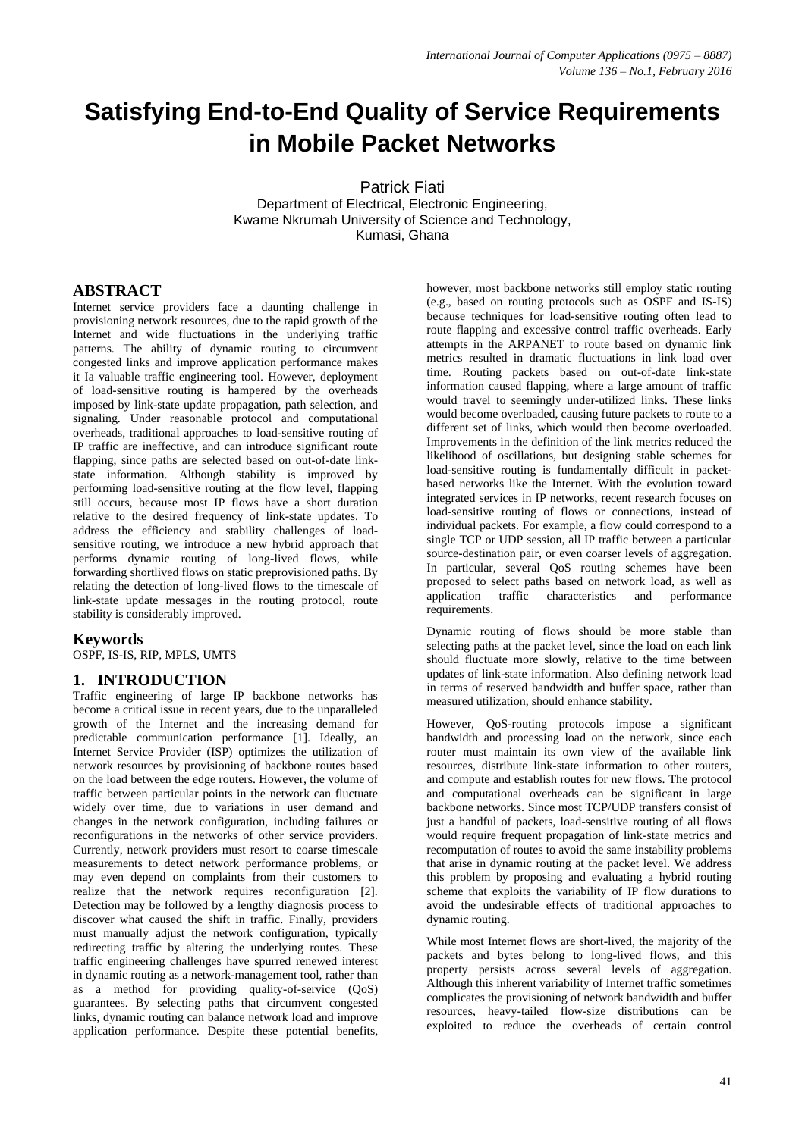# **Satisfying End-to-End Quality of Service Requirements in Mobile Packet Networks**

Patrick Fiati Department of Electrical, Electronic Engineering, Kwame Nkrumah University of Science and Technology, Kumasi, Ghana

## **ABSTRACT**

Internet service providers face a daunting challenge in provisioning network resources, due to the rapid growth of the Internet and wide fluctuations in the underlying traffic patterns. The ability of dynamic routing to circumvent congested links and improve application performance makes it Ia valuable traffic engineering tool. However, deployment of load-sensitive routing is hampered by the overheads imposed by link-state update propagation, path selection, and signaling. Under reasonable protocol and computational overheads, traditional approaches to load-sensitive routing of IP traffic are ineffective, and can introduce significant route flapping, since paths are selected based on out-of-date linkstate information. Although stability is improved by performing load-sensitive routing at the flow level, flapping still occurs, because most IP flows have a short duration relative to the desired frequency of link-state updates. To address the efficiency and stability challenges of loadsensitive routing, we introduce a new hybrid approach that performs dynamic routing of long-lived flows, while forwarding shortlived flows on static preprovisioned paths. By relating the detection of long-lived flows to the timescale of link-state update messages in the routing protocol, route stability is considerably improved.

#### **Keywords**

OSPF, IS-IS, RIP, MPLS, UMTS

## **1. INTRODUCTION**

Traffic engineering of large IP backbone networks has become a critical issue in recent years, due to the unparalleled growth of the Internet and the increasing demand for predictable communication performance [1]. Ideally, an Internet Service Provider (ISP) optimizes the utilization of network resources by provisioning of backbone routes based on the load between the edge routers. However, the volume of traffic between particular points in the network can fluctuate widely over time, due to variations in user demand and changes in the network configuration, including failures or reconfigurations in the networks of other service providers. Currently, network providers must resort to coarse timescale measurements to detect network performance problems, or may even depend on complaints from their customers to realize that the network requires reconfiguration [2]. Detection may be followed by a lengthy diagnosis process to discover what caused the shift in traffic. Finally, providers must manually adjust the network configuration, typically redirecting traffic by altering the underlying routes. These traffic engineering challenges have spurred renewed interest in dynamic routing as a network-management tool, rather than as a method for providing quality-of-service (QoS) guarantees. By selecting paths that circumvent congested links, dynamic routing can balance network load and improve application performance. Despite these potential benefits,

however, most backbone networks still employ static routing (e.g., based on routing protocols such as OSPF and IS-IS) because techniques for load-sensitive routing often lead to route flapping and excessive control traffic overheads. Early attempts in the ARPANET to route based on dynamic link metrics resulted in dramatic fluctuations in link load over time. Routing packets based on out-of-date link-state information caused flapping, where a large amount of traffic would travel to seemingly under-utilized links. These links would become overloaded, causing future packets to route to a different set of links, which would then become overloaded. Improvements in the definition of the link metrics reduced the likelihood of oscillations, but designing stable schemes for load-sensitive routing is fundamentally difficult in packetbased networks like the Internet. With the evolution toward integrated services in IP networks, recent research focuses on load-sensitive routing of flows or connections, instead of individual packets. For example, a flow could correspond to a single TCP or UDP session, all IP traffic between a particular source-destination pair, or even coarser levels of aggregation. In particular, several QoS routing schemes have been proposed to select paths based on network load, as well as application traffic characteristics and performance requirements.

Dynamic routing of flows should be more stable than selecting paths at the packet level, since the load on each link should fluctuate more slowly, relative to the time between updates of link-state information. Also defining network load in terms of reserved bandwidth and buffer space, rather than measured utilization, should enhance stability.

However, QoS-routing protocols impose a significant bandwidth and processing load on the network, since each router must maintain its own view of the available link resources, distribute link-state information to other routers, and compute and establish routes for new flows. The protocol and computational overheads can be significant in large backbone networks. Since most TCP/UDP transfers consist of just a handful of packets, load-sensitive routing of all flows would require frequent propagation of link-state metrics and recomputation of routes to avoid the same instability problems that arise in dynamic routing at the packet level. We address this problem by proposing and evaluating a hybrid routing scheme that exploits the variability of IP flow durations to avoid the undesirable effects of traditional approaches to dynamic routing.

While most Internet flows are short-lived, the majority of the packets and bytes belong to long-lived flows, and this property persists across several levels of aggregation. Although this inherent variability of Internet traffic sometimes complicates the provisioning of network bandwidth and buffer resources, heavy-tailed flow-size distributions can be exploited to reduce the overheads of certain control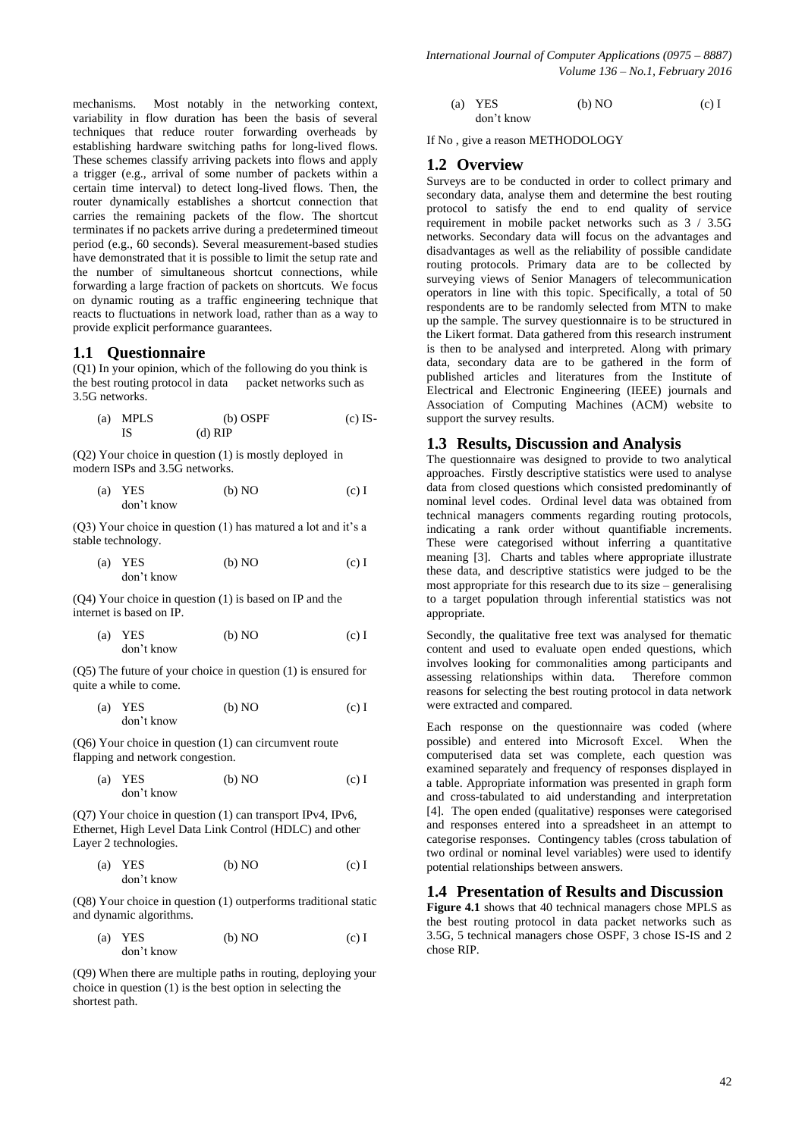*International Journal of Computer Applications (0975 – 8887) Volume 136 – No.1, February 2016*

mechanisms. Most notably in the networking context, variability in flow duration has been the basis of several techniques that reduce router forwarding overheads by establishing hardware switching paths for long-lived flows. These schemes classify arriving packets into flows and apply a trigger (e.g., arrival of some number of packets within a certain time interval) to detect long-lived flows. Then, the router dynamically establishes a shortcut connection that carries the remaining packets of the flow. The shortcut terminates if no packets arrive during a predetermined timeout period (e.g., 60 seconds). Several measurement-based studies have demonstrated that it is possible to limit the setup rate and the number of simultaneous shortcut connections, while forwarding a large fraction of packets on shortcuts. We focus on dynamic routing as a traffic engineering technique that reacts to fluctuations in network load, rather than as a way to provide explicit performance guarantees.

#### **1.1 Questionnaire**

(Q1) In your opinion, which of the following do you think is the best routing protocol in data packet networks such as 3.5G networks.

(a) MPLS (b) OSPF (c) IS-IS (d) RIP

(Q2) Your choice in question (1) is mostly deployed in modern ISPs and 3.5G networks.

(a) 
$$
YES
$$
 (b) NO (c) I don't know

(Q3) Your choice in question (1) has matured a lot and it's a stable technology.

(a) 
$$
YES
$$
 (b) NO (c) I don't know

(Q4) Your choice in question (1) is based on IP and the internet is based on IP.

| (a) YES    | (b) NO | $(c)$ I |
|------------|--------|---------|
| don't know |        |         |

(Q5) The future of your choice in question (1) is ensured for quite a while to come.

(a) 
$$
YES
$$
 (b) NO (c) I don't know

(Q6) Your choice in question (1) can circumvent route flapping and network congestion.

(a) 
$$
YES
$$
 (b) NO (c) I don't know

(Q7) Your choice in question (1) can transport IPv4, IPv6, Ethernet, High Level Data Link Control (HDLC) and other Layer 2 technologies.

(a) 
$$
YES
$$
 (b) NO (c) I don't know

(Q8) Your choice in question (1) outperforms traditional static and dynamic algorithms.

(a) 
$$
YES
$$
 (b) NO (c) I don't know

(Q9) When there are multiple paths in routing, deploying your choice in question (1) is the best option in selecting the shortest path.

(a) 
$$
YES
$$
 (b) NO (c) I don't know

If No , give a reason METHODOLOGY

#### **1.2 Overview**

Surveys are to be conducted in order to collect primary and secondary data, analyse them and determine the best routing protocol to satisfy the end to end quality of service requirement in mobile packet networks such as 3 / 3.5G networks. Secondary data will focus on the advantages and disadvantages as well as the reliability of possible candidate routing protocols. Primary data are to be collected by surveying views of Senior Managers of telecommunication operators in line with this topic. Specifically, a total of 50 respondents are to be randomly selected from MTN to make up the sample. The survey questionnaire is to be structured in the Likert format. Data gathered from this research instrument is then to be analysed and interpreted. Along with primary data, secondary data are to be gathered in the form of published articles and literatures from the Institute of Electrical and Electronic Engineering (IEEE) journals and Association of Computing Machines (ACM) website to support the survey results.

#### **1.3 Results, Discussion and Analysis**

The questionnaire was designed to provide to two analytical approaches. Firstly descriptive statistics were used to analyse data from closed questions which consisted predominantly of nominal level codes. Ordinal level data was obtained from technical managers comments regarding routing protocols, indicating a rank order without quantifiable increments. These were categorised without inferring a quantitative meaning [3]. Charts and tables where appropriate illustrate these data, and descriptive statistics were judged to be the most appropriate for this research due to its size – generalising to a target population through inferential statistics was not appropriate.

Secondly, the qualitative free text was analysed for thematic content and used to evaluate open ended questions, which involves looking for commonalities among participants and assessing relationships within data. Therefore common reasons for selecting the best routing protocol in data network were extracted and compared.

Each response on the questionnaire was coded (where possible) and entered into Microsoft Excel. When the computerised data set was complete, each question was examined separately and frequency of responses displayed in a table. Appropriate information was presented in graph form and cross-tabulated to aid understanding and interpretation [4]. The open ended (qualitative) responses were categorised and responses entered into a spreadsheet in an attempt to categorise responses. Contingency tables (cross tabulation of two ordinal or nominal level variables) were used to identify potential relationships between answers.

## **1.4 Presentation of Results and Discussion**

**Figure 4.1** shows that 40 technical managers chose MPLS as the best routing protocol in data packet networks such as 3.5G, 5 technical managers chose OSPF, 3 chose IS-IS and 2 chose RIP.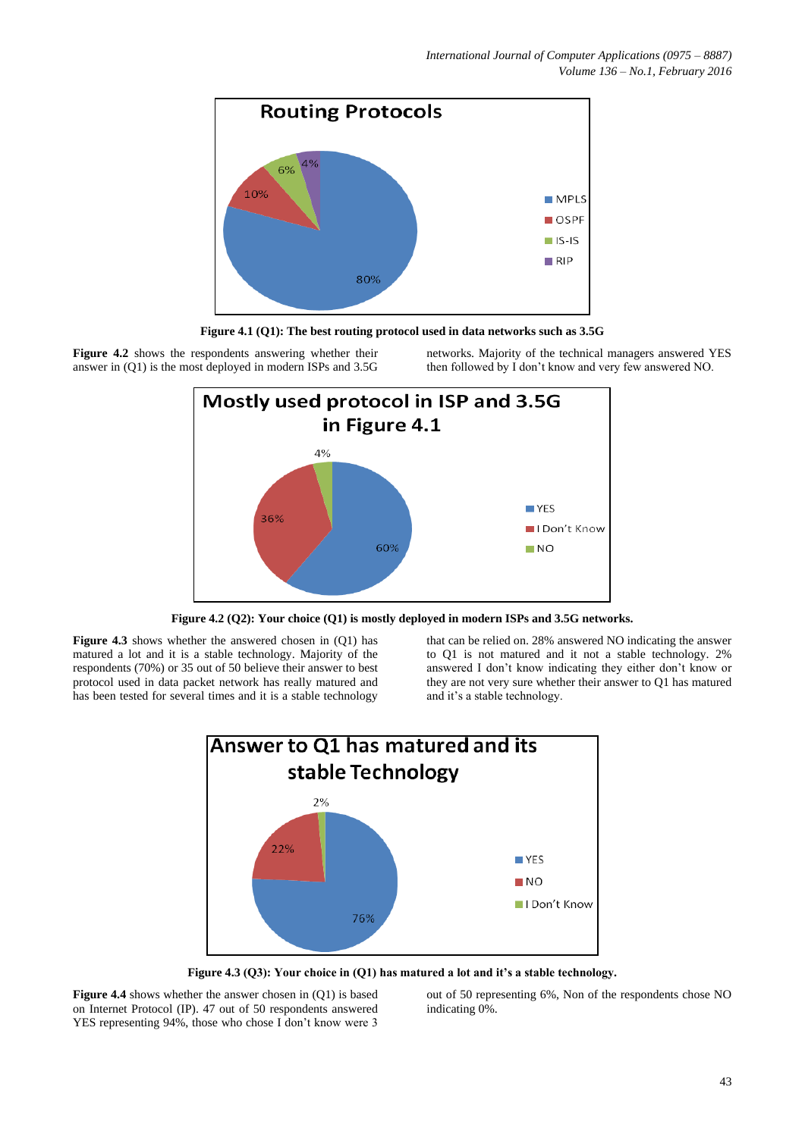

**Figure 4.1 (Q1): The best routing protocol used in data networks such as 3.5G**

**Figure 4.2** shows the respondents answering whether their answer in (Q1) is the most deployed in modern ISPs and 3.5G

networks. Majority of the technical managers answered YES then followed by I don't know and very few answered NO.



**Figure 4.2 (Q2): Your choice (Q1) is mostly deployed in modern ISPs and 3.5G networks.**

**Figure 4.3** shows whether the answered chosen in (Q1) has matured a lot and it is a stable technology. Majority of the respondents (70%) or 35 out of 50 believe their answer to best protocol used in data packet network has really matured and has been tested for several times and it is a stable technology

that can be relied on. 28% answered NO indicating the answer to Q1 is not matured and it not a stable technology. 2% answered I don't know indicating they either don't know or they are not very sure whether their answer to Q1 has matured and it's a stable technology.



**Figure 4.3 (Q3): Your choice in (Q1) has matured a lot and it's a stable technology.**

**Figure 4.4** shows whether the answer chosen in (Q1) is based on Internet Protocol (IP). 47 out of 50 respondents answered YES representing 94%, those who chose I don't know were 3

out of 50 representing 6%, Non of the respondents chose NO indicating 0%.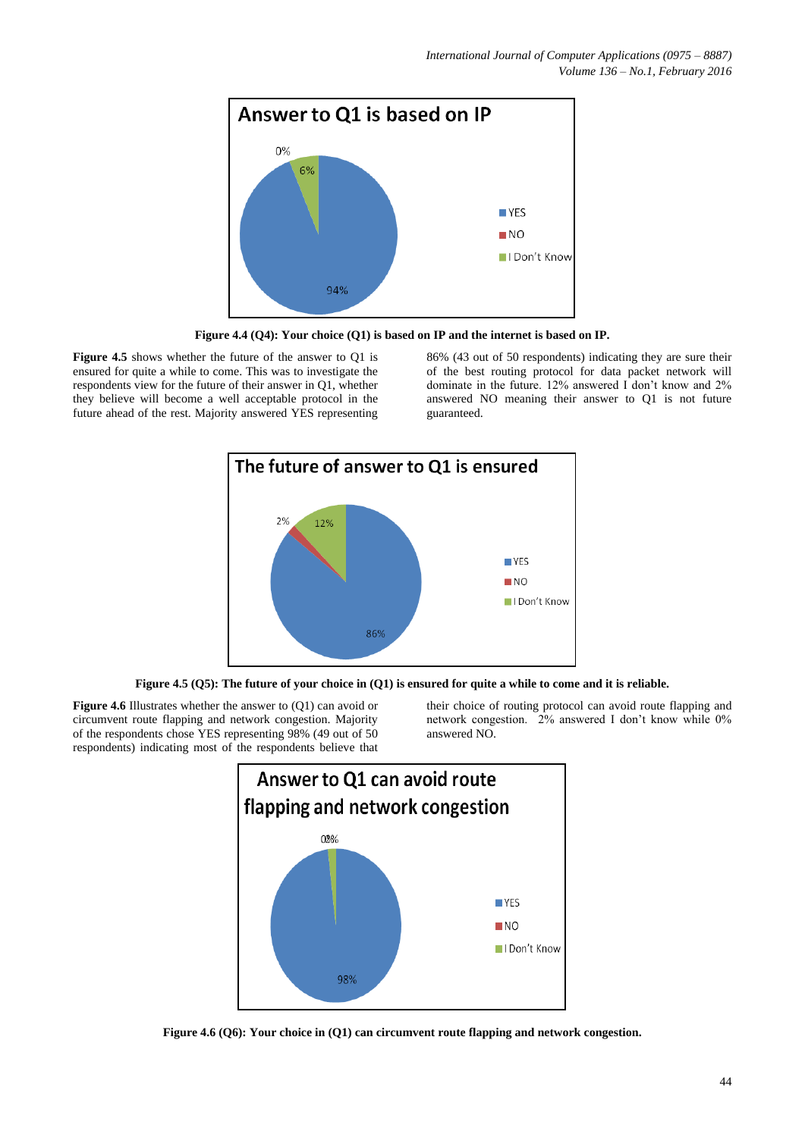

**Figure 4.4 (Q4): Your choice (Q1) is based on IP and the internet is based on IP.**

**Figure 4.5** shows whether the future of the answer to Q1 is ensured for quite a while to come. This was to investigate the respondents view for the future of their answer in Q1, whether they believe will become a well acceptable protocol in the future ahead of the rest. Majority answered YES representing

86% (43 out of 50 respondents) indicating they are sure their of the best routing protocol for data packet network will dominate in the future. 12% answered I don't know and 2% answered NO meaning their answer to Q1 is not future guaranteed.



**Figure 4.5 (Q5): The future of your choice in (Q1) is ensured for quite a while to come and it is reliable.**

**Figure 4.6** Illustrates whether the answer to (Q1) can avoid or circumvent route flapping and network congestion. Majority of the respondents chose YES representing 98% (49 out of 50 respondents) indicating most of the respondents believe that their choice of routing protocol can avoid route flapping and network congestion. 2% answered I don't know while 0% answered NO.



**Figure 4.6 (Q6): Your choice in (Q1) can circumvent route flapping and network congestion.**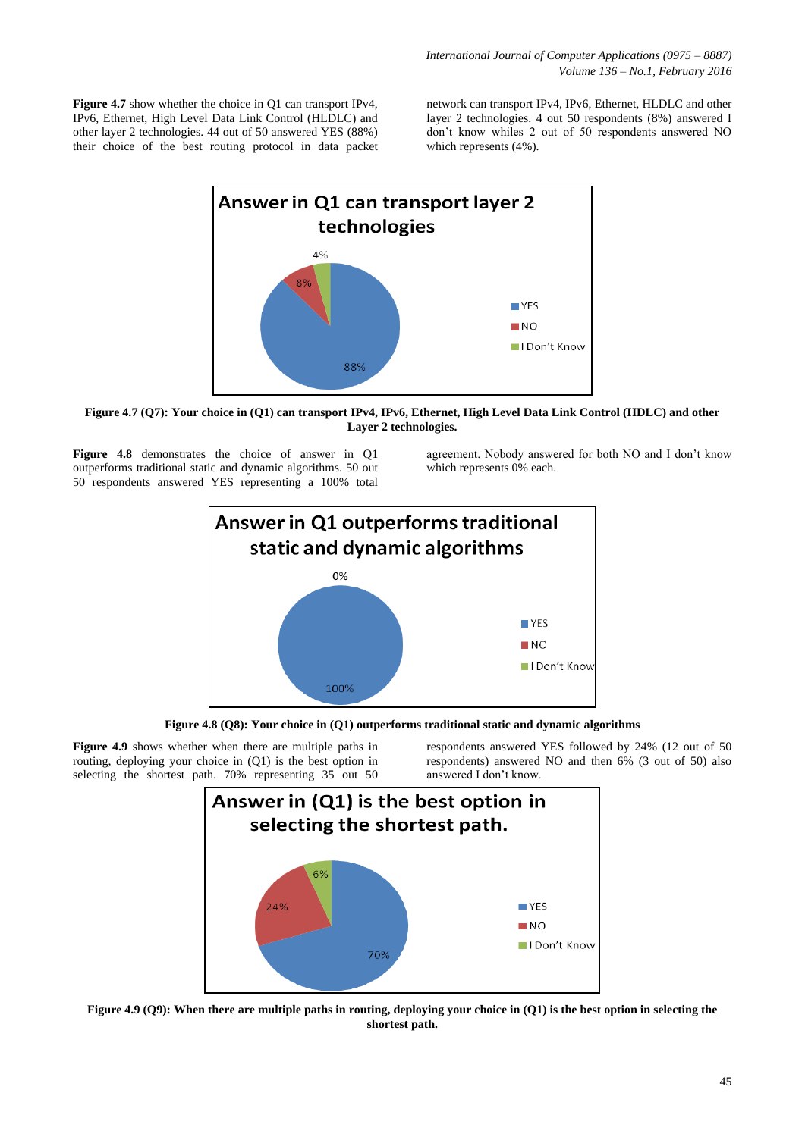**Figure 4.7** show whether the choice in Q1 can transport IPv4, IPv6, Ethernet, High Level Data Link Control (HLDLC) and other layer 2 technologies. 44 out of 50 answered YES (88%) their choice of the best routing protocol in data packet

network can transport IPv4, IPv6, Ethernet, HLDLC and other layer 2 technologies. 4 out 50 respondents (8%) answered I don't know whiles 2 out of 50 respondents answered NO which represents (4%).



**Figure 4.7 (Q7): Your choice in (Q1) can transport IPv4, IPv6, Ethernet, High Level Data Link Control (HDLC) and other Layer 2 technologies.**

**Figure 4.8** demonstrates the choice of answer in Q1 outperforms traditional static and dynamic algorithms. 50 out 50 respondents answered YES representing a 100% total

agreement. Nobody answered for both NO and I don't know which represents 0% each.



**Figure 4.8 (Q8): Your choice in (Q1) outperforms traditional static and dynamic algorithms**

**Figure 4.9** shows whether when there are multiple paths in routing, deploying your choice in (Q1) is the best option in selecting the shortest path. 70% representing 35 out 50 respondents answered YES followed by 24% (12 out of 50 respondents) answered NO and then 6% (3 out of 50) also answered I don't know.



**Figure 4.9 (Q9): When there are multiple paths in routing, deploying your choice in (Q1) is the best option in selecting the shortest path.**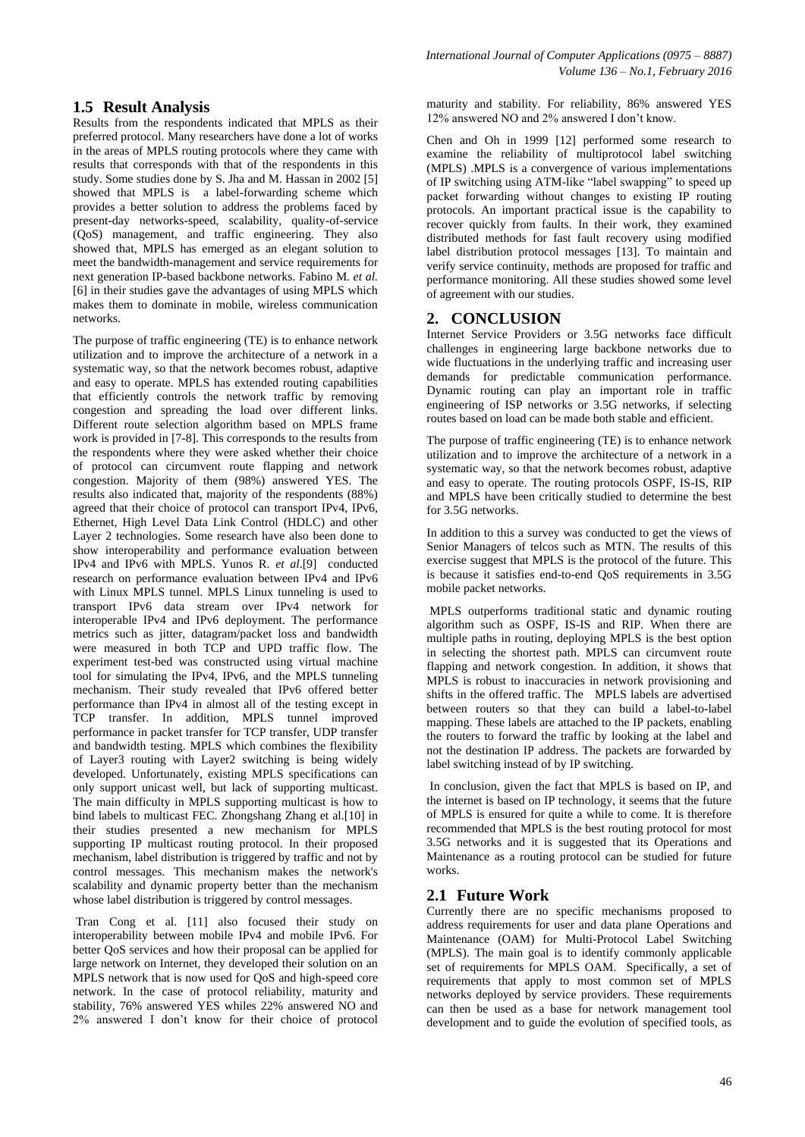### **1.5 Result Analysis**

Results from the respondents indicated that MPLS as their preferred protocol. Many researchers have done a lot of works in the areas of MPLS routing protocols where they came with results that corresponds with that of the respondents in this study. Some studies done by S. Jha and M. Hassan in 2002 [5] showed that MPLS is a label-forwarding scheme which provides a better solution to address the problems faced by present-day networks-speed, scalability, quality-of-service (QoS) management, and traffic engineering. They also showed that, MPLS has emerged as an elegant solution to meet the bandwidth-management and service requirements for next generation IP-based backbone networks. Fabino M*. et al.* [6] in their studies gave the advantages of using MPLS which makes them to dominate in mobile, wireless communication networks.

The purpose of traffic engineering (TE) is to enhance network utilization and to improve the architecture of a network in a systematic way, so that the network becomes robust, adaptive and easy to operate. MPLS has extended routing capabilities that efficiently controls the network traffic by removing congestion and spreading the load over different links. Different route selection algorithm based on MPLS frame work is provided in [7-8]. This corresponds to the results from the respondents where they were asked whether their choice of protocol can circumvent route flapping and network congestion. Majority of them (98%) answered YES. The results also indicated that, majority of the respondents (88%) agreed that their choice of protocol can transport IPv4, IPv6, Ethernet, High Level Data Link Control (HDLC) and other Layer 2 technologies. Some research have also been done to show interoperability and performance evaluation between IPv4 and IPv6 with MPLS. Yunos R. *et al*.[9] conducted research on performance evaluation between IPv4 and IPv6 with Linux MPLS tunnel. MPLS Linux tunneling is used to transport IPv6 data stream over IPv4 network for interoperable IPv4 and IPv6 deployment. The performance metrics such as jitter, datagram/packet loss and bandwidth were measured in both TCP and UPD traffic flow. The experiment test-bed was constructed using virtual machine tool for simulating the IPv4, IPv6, and the MPLS tunneling mechanism. Their study revealed that IPv6 offered better performance than IPv4 in almost all of the testing except in TCP transfer. In addition, MPLS tunnel improved performance in packet transfer for TCP transfer, UDP transfer and bandwidth testing. MPLS which combines the flexibility of Layer3 routing with Layer2 switching is being widely developed. Unfortunately, existing MPLS specifications can only support unicast well, but lack of supporting multicast. The main difficulty in MPLS supporting multicast is how to bind labels to multicast FEC. Zhongshang Zhang et al.[10] in their studies presented a new mechanism for MPLS supporting IP multicast routing protocol. In their proposed mechanism, label distribution is triggered by traffic and not by control messages. This mechanism makes the network's scalability and dynamic property better than the mechanism whose label distribution is triggered by control messages.

Tran Cong et al. [11] also focused their study on interoperability between mobile IPv4 and mobile IPv6. For better QoS services and how their proposal can be applied for large network on Internet, they developed their solution on an MPLS network that is now used for QoS and high-speed core network. In the case of protocol reliability, maturity and stability, 76% answered YES whiles 22% answered NO and 2% answered I don't know for their choice of protocol maturity and stability. For reliability, 86% answered YES 12% answered NO and 2% answered I don't know.

Chen and Oh in 1999 [12] performed some research to examine the reliability of multiprotocol label switching (MPLS) .MPLS is a convergence of various implementations of IP switching using ATM-like "label swapping" to speed up packet forwarding without changes to existing IP routing protocols. An important practical issue is the capability to recover quickly from faults. In their work, they examined distributed methods for fast fault recovery using modified label distribution protocol messages [13]. To maintain and verify service continuity, methods are proposed for traffic and performance monitoring. All these studies showed some level of agreement with our studies.

# **2. CONCLUSION**

Internet Service Providers or 3.5G networks face difficult challenges in engineering large backbone networks due to wide fluctuations in the underlying traffic and increasing user demands for predictable communication performance. Dynamic routing can play an important role in traffic engineering of ISP networks or 3.5G networks, if selecting routes based on load can be made both stable and efficient.

The purpose of traffic engineering (TE) is to enhance network utilization and to improve the architecture of a network in a systematic way, so that the network becomes robust, adaptive and easy to operate. The routing protocols OSPF, IS-IS, RIP and MPLS have been critically studied to determine the best for 3.5G networks.

In addition to this a survey was conducted to get the views of Senior Managers of telcos such as MTN. The results of this exercise suggest that MPLS is the protocol of the future. This is because it satisfies end-to-end QoS requirements in 3.5G mobile packet networks.

MPLS outperforms traditional static and dynamic routing algorithm such as OSPF, IS-IS and RIP. When there are multiple paths in routing, deploying MPLS is the best option in selecting the shortest path. MPLS can circumvent route flapping and network congestion. In addition, it shows that MPLS is robust to inaccuracies in network provisioning and shifts in the offered traffic. The MPLS labels are advertised between routers so that they can build a label-to-label mapping. These labels are attached to the IP packets, enabling the routers to forward the traffic by looking at the label and not the destination IP address. The packets are forwarded by label switching instead of by IP switching.

In conclusion, given the fact that MPLS is based on IP, and the internet is based on IP technology, it seems that the future of MPLS is ensured for quite a while to come. It is therefore recommended that MPLS is the best routing protocol for most 3.5G networks and it is suggested that its Operations and Maintenance as a routing protocol can be studied for future works.

## **2.1 Future Work**

Currently there are no specific mechanisms proposed to address requirements for user and data plane Operations and Maintenance (OAM) for Multi-Protocol Label Switching (MPLS). The main goal is to identify commonly applicable set of requirements for MPLS OAM. Specifically, a set of requirements that apply to most common set of MPLS networks deployed by service providers. These requirements can then be used as a base for network management tool development and to guide the evolution of specified tools, as